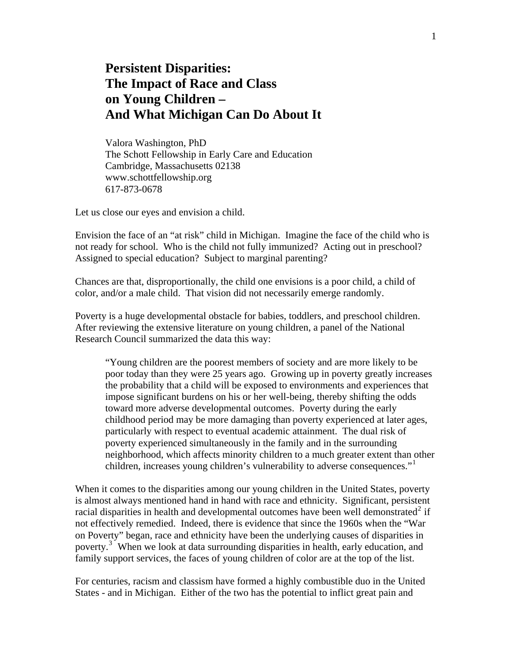# **Persistent Disparities: The Impact of Race and Class on Young Children – And What Michigan Can Do About It**

Valora Washington, PhD The Schott Fellowship in Early Care and Education Cambridge, Massachusetts 02138 [www.schottfellowship.org](http://www.schottfellowship.org/)  617-873-0678

Let us close our eyes and envision a child.

Envision the face of an "at risk" child in Michigan. Imagine the face of the child who is not ready for school. Who is the child not fully immunized? Acting out in preschool? Assigned to special education? Subject to marginal parenting?

Chances are that, disproportionally, the child one envisions is a poor child, a child of color, and/or a male child. That vision did not necessarily emerge randomly.

Poverty is a huge developmental obstacle for babies, toddlers, and preschool children. After reviewing the extensive literature on young children, a panel of the National Research Council summarized the data this way:

"Young children are the poorest members of society and are more likely to be poor today than they were 25 years ago. Growing up in poverty greatly increases the probability that a child will be exposed to environments and experiences that impose significant burdens on his or her well-being, thereby shifting the odds toward more adverse developmental outcomes. Poverty during the early childhood period may be more damaging than poverty experienced at later ages, particularly with respect to eventual academic attainment. The dual risk of poverty experienced simultaneously in the family and in the surrounding neighborhood, which affects minority children to a much greater extent than other children, increases young children's vulnerability to adverse consequences."[1](#page-10-0)

When it comes to the disparities among our young children in the United States, poverty is almost always mentioned hand in hand with race and ethnicity. Significant, persistent racial disparities in health and developmental outcomes have been well demonstrated<sup>[2](#page-10-1)</sup> if not effectively remedied. Indeed, there is evidence that since the 1960s when the "War on Poverty" began, race and ethnicity have been the underlying causes of disparities in poverty.<sup>[3](#page-10-1)</sup> When we look at data surrounding disparities in health, early education, and family support services, the faces of young children of color are at the top of the list.

For centuries, racism and classism have formed a highly combustible duo in the United States - and in Michigan. Either of the two has the potential to inflict great pain and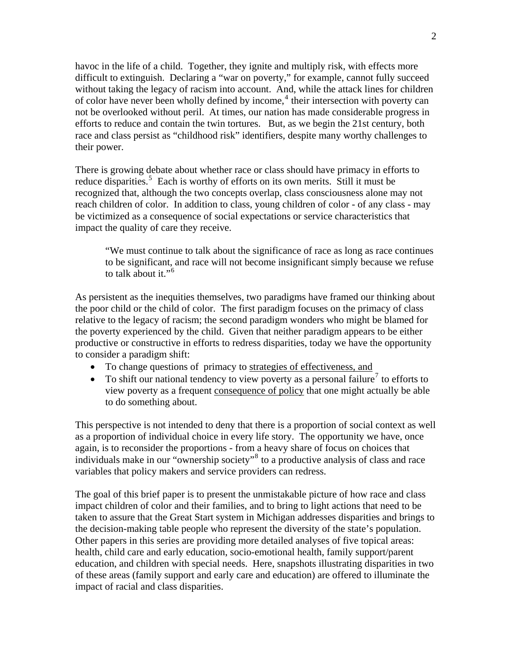havoc in the life of a child. Together, they ignite and multiply risk, with effects more difficult to extinguish. Declaring a "war on poverty," for example, cannot fully succeed without taking the legacy of racism into account. And, while the attack lines for children of color have never been wholly defined by income, $4$  their intersection with poverty can not be overlooked without peril. At times, our nation has made considerable progress in efforts to reduce and contain the twin tortures. But, as we begin the 21st century, both race and class persist as "childhood risk" identifiers, despite many worthy challenges to their power.

There is growing debate about whether race or class should have primacy in efforts to reduce disparities.<sup>[5](#page-10-1)</sup> Each is worthy of efforts on its own merits. Still it must be recognized that, although the two concepts overlap, class consciousness alone may not reach children of color. In addition to class, young children of color - of any class - may be victimized as a consequence of social expectations or service characteristics that impact the quality of care they receive.

"We must continue to talk about the significance of race as long as race continues to be significant, and race will not become insignificant simply because we refuse to talk about it." $\frac{6}{10}$  $\frac{6}{10}$  $\frac{6}{10}$ 

As persistent as the inequities themselves, two paradigms have framed our thinking about the poor child or the child of color. The first paradigm focuses on the primacy of class relative to the legacy of racism; the second paradigm wonders who might be blamed for the poverty experienced by the child. Given that neither paradigm appears to be either productive or constructive in efforts to redress disparities, today we have the opportunity to consider a paradigm shift:

- To change questions of primacy to strategies of effectiveness, and
- To shift our national tendency to view poverty as a personal failure<sup>[7](#page-10-1)</sup> to efforts to view poverty as a frequent consequence of policy that one might actually be able to do something about.

This perspective is not intended to deny that there is a proportion of social context as well as a proportion of individual choice in every life story. The opportunity we have, once again, is to reconsider the proportions - from a heavy share of focus on choices that individuals make in our "ownership society"<sup>[8](#page-10-1)</sup> to a productive analysis of class and race variables that policy makers and service providers can redress.

The goal of this brief paper is to present the unmistakable picture of how race and class impact children of color and their families, and to bring to light actions that need to be taken to assure that the Great Start system in Michigan addresses disparities and brings to the decision-making table people who represent the diversity of the state's population. Other papers in this series are providing more detailed analyses of five topical areas: health, child care and early education, socio-emotional health, family support/parent education, and children with special needs. Here, snapshots illustrating disparities in two of these areas (family support and early care and education) are offered to illuminate the impact of racial and class disparities.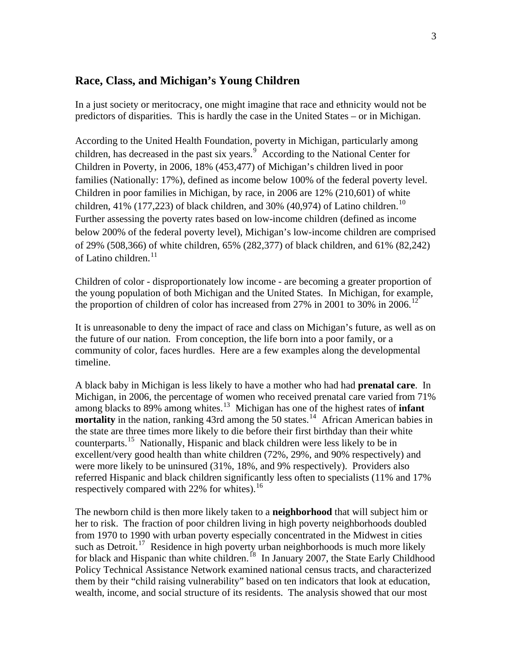### **Race, Class, and Michigan's Young Children**

In a just society or meritocracy, one might imagine that race and ethnicity would not be predictors of disparities. This is hardly the case in the United States – or in Michigan.

According to the United Health Foundation, poverty in Michigan, particularly among children, has decreased in the past six years.<sup>[9](#page-10-1)</sup> According to the National Center for Children in Poverty, in 2006, 18% (453,477) of Michigan's children lived in poor families (Nationally: 17%), defined as income below 100% of the federal poverty level. Children in poor families in Michigan, by race, in 2006 are 12% (210,601) of white children, 41% (177,223) of black children, and 30% (40,974) of Latino children.<sup>[10](#page-10-1)</sup> Further assessing the poverty rates based on low-income children (defined as income below 200% of the federal poverty level), Michigan's low-income children are comprised of 29% (508,366) of white children, 65% (282,377) of black children, and 61% (82,242) of Latino children.<sup>[11](#page-11-0)</sup>

Children of color - disproportionately low income - are becoming a greater proportion of the young population of both Michigan and the United States. In Michigan, for example, the proportion of children of color has increased from 27% in 2001 to 30% in 2006.<sup>[12](#page-11-0)</sup>

It is unreasonable to deny the impact of race and class on Michigan's future, as well as on the future of our nation. From conception, the life born into a poor family, or a community of color, faces hurdles. Here are a few examples along the developmental timeline.

A black baby in Michigan is less likely to have a mother who had had **prenatal care**. In Michigan, in 2006, the percentage of women who received prenatal care varied from 71% among blacks to 89% among whites.<sup>[13](#page-11-0)</sup> Michigan has one of the highest rates of **infant mortality** in the nation, ranking 43rd among the 50 states.<sup>[14](#page-11-0)</sup> African American babies in the state are three times more likely to die before their first birthday than their white counterparts.<sup>[15](#page-11-0)</sup> Nationally, Hispanic and black children were less likely to be in excellent/very good health than white children (72%, 29%, and 90% respectively) and were more likely to be uninsured (31%, 18%, and 9% respectively). Providers also referred Hispanic and black children significantly less often to specialists (11% and 17% respectively compared with  $22\%$  for whites).<sup>[16](#page-11-0)</sup>

The newborn child is then more likely taken to a **neighborhood** that will subject him or her to risk. The fraction of poor children living in high poverty neighborhoods doubled from 1970 to 1990 with urban poverty especially concentrated in the Midwest in cities such as Detroit.<sup>[17](#page-11-0)</sup> Residence in high poverty urban neighborhoods is much more likely for black and Hispanic than white children.<sup>[18](#page-11-0)</sup> In January 2007, the State Early Childhood Policy Technical Assistance Network examined national census tracts, and characterized them by their "child raising vulnerability" based on ten indicators that look at education, wealth, income, and social structure of its residents. The analysis showed that our most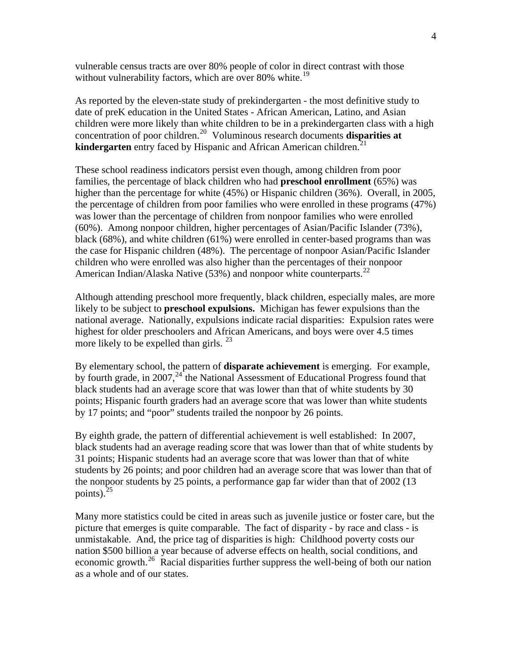vulnerable census tracts are over 80% people of color in direct contrast with those without vulnerability factors, which are over  $80\%$  white.<sup>[19](#page-11-0)</sup>

As reported by the eleven-state study of prekindergarten - the most definitive study to date of preK education in the United States - African American, Latino, and Asian children were more likely than white children to be in a prekindergarten class with a high concentration of poor children.<sup>[20](#page-11-0)</sup> Voluminous research documents **disparities at kindergarten** entry faced by Hispanic and African American children.<sup>[21](#page-11-0)</sup>

These school readiness indicators persist even though, among children from poor families, the percentage of black children who had **preschool enrollment** (65%) was higher than the percentage for white (45%) or Hispanic children (36%). Overall, in 2005, the percentage of children from poor families who were enrolled in these programs (47%) was lower than the percentage of children from nonpoor families who were enrolled (60%). Among nonpoor children, higher percentages of Asian/Pacific Islander (73%), black (68%), and white children (61%) were enrolled in center-based programs than was the case for Hispanic children (48%). The percentage of nonpoor Asian/Pacific Islander children who were enrolled was also higher than the percentages of their nonpoor American Indian/Alaska Native (53%) and nonpoor white counterparts.<sup>[22](#page-12-0)</sup>

Although attending preschool more frequently, black children, especially males, are more likely to be subject to **preschool expulsions.** Michigan has fewer expulsions than the national average. Nationally, expulsions indicate racial disparities: Expulsion rates were highest for older preschoolers and African Americans, and boys were over 4.5 times more likely to be expelled than girls.  $23$ 

By elementary school, the pattern of **disparate achievement** is emerging. For example, by fourth grade, in 2007,  $24$  the National Assessment of Educational Progress found that black students had an average score that was lower than that of white students by 30 points; Hispanic fourth graders had an average score that was lower than white students by 17 points; and "poor" students trailed the nonpoor by 26 points.

By eighth grade, the pattern of differential achievement is well established: In 2007, black students had an average reading score that was lower than that of white students by 31 points; Hispanic students had an average score that was lower than that of white students by 26 points; and poor children had an average score that was lower than that of the nonpoor students by 25 points, a performance gap far wider than that of 2002 (13 points). $^{25}$  $^{25}$  $^{25}$ 

Many more statistics could be cited in areas such as juvenile justice or foster care, but the picture that emerges is quite comparable. The fact of disparity - by race and class - is unmistakable. And, the price tag of disparities is high: Childhood poverty costs our nation \$500 billion a year because of adverse effects on health, social conditions, and economic growth.<sup>[26](#page-12-0)</sup> Racial disparities further suppress the well-being of both our nation as a whole and of our states.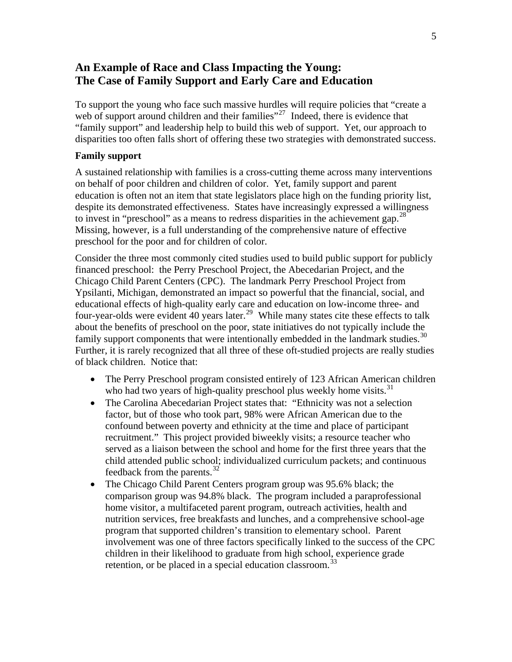## **An Example of Race and Class Impacting the Young: The Case of Family Support and Early Care and Education**

To support the young who face such massive hurdles will require policies that "create a web of support around children and their families $x^{27}$  $x^{27}$  $x^{27}$  Indeed, there is evidence that "family support" and leadership help to build this web of support. Yet, our approach to disparities too often falls short of offering these two strategies with demonstrated success.

#### **Family support**

A sustained relationship with families is a cross-cutting theme across many interventions on behalf of poor children and children of color. Yet, family support and parent education is often not an item that state legislators place high on the funding priority list, despite its demonstrated effectiveness. States have increasingly expressed a willingness to invest in "preschool" as a means to redress disparities in the achievement gap.  $^{28}$  $^{28}$  $^{28}$ Missing, however, is a full understanding of the comprehensive nature of effective preschool for the poor and for children of color.

Consider the three most commonly cited studies used to build public support for publicly financed preschool: the Perry Preschool Project, the Abecedarian Project, and the Chicago Child Parent Centers (CPC). The landmark Perry Preschool Project from Ypsilanti, Michigan, demonstrated an impact so powerful that the financial, social, and educational effects of high-quality early care and education on low-income three- and four-year-olds were evident 40 years later.<sup>[29](#page-12-0)</sup> While many states cite these effects to talk about the benefits of preschool on the poor, state initiatives do not typically include the family support components that were intentionally embedded in the landmark studies.<sup>[30](#page-12-0)</sup> Further, it is rarely recognized that all three of these oft-studied projects are really studies of black children. Notice that:

- The Perry Preschool program consisted entirely of 123 African American children who had two years of high-quality preschool plus weekly home visits. $31$
- The Carolina Abecedarian Project states that: "Ethnicity was not a selection factor, but of those who took part, 98% were African American due to the confound between poverty and ethnicity at the time and place of participant recruitment." This project provided biweekly visits; a resource teacher who served as a liaison between the school and home for the first three years that the child attended public school; individualized curriculum packets; and continuous feedback from the parents.<sup>[32](#page-13-0)</sup>
- The Chicago Child Parent Centers program group was 95.6% black; the comparison group was 94.8% black. The program included a paraprofessional home visitor, a multifaceted parent program, outreach activities, health and nutrition services, free breakfasts and lunches, and a comprehensive school-age program that supported children's transition to elementary school. Parent involvement was one of three factors specifically linked to the success of the CPC children in their likelihood to graduate from high school, experience grade retention, or be placed in a special education classroom.<sup>[33](#page-14-0)</sup>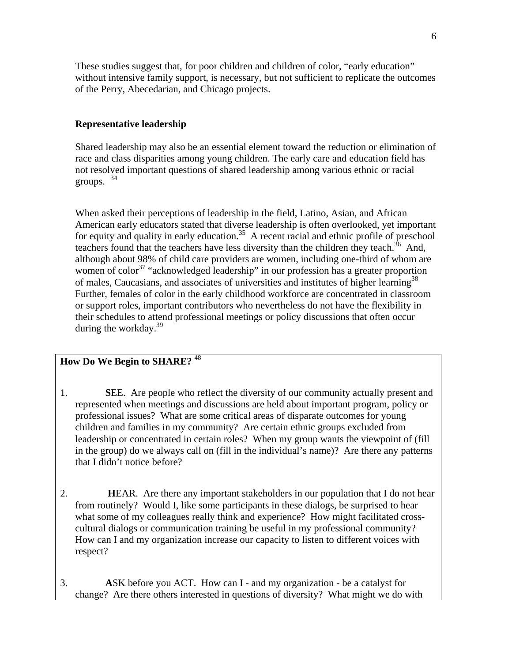These studies suggest that, for poor children and children of color, "early education" without intensive family support, is necessary, but not sufficient to replicate the outcomes of the Perry, Abecedarian, and Chicago projects.

#### **Representative leadership**

Shared leadership may also be an essential element toward the reduction or elimination of race and class disparities among young children. The early care and education field has not resolved important questions of shared leadership among various ethnic or racial groups.  $34$ 

When asked their perceptions of leadership in the field, Latino, Asian, and African American early educators stated that diverse leadership is often overlooked, yet important for equity and quality in early education.<sup>35</sup> A recent racial and ethnic profile of preschool teachers found that the teachers have less diversity than the children they teach.<sup>36</sup> And, although about 98% of child care providers are women, including one-third of whom are women of color<sup>37</sup> "acknowledged leadership" in our profession has a greater proportion of males, Caucasians, and associates of universities and institutes of higher learning<sup>38</sup> Further, females of color in the early childhood workforce are concentrated in classroom or support roles, important contributors who nevertheless do not have the flexibility in their schedules to attend professional meetings or policy discussions that often occur during the workday. $39$ 

### **How Do We Begin to SHARE?** <sup>48</sup>

- 1. **S**EE. Are people who reflect the diversity of our community actually present and represented when meetings and discussions are held about important program, policy or professional issues? What are some critical areas of disparate outcomes for young children and families in my community? Are certain ethnic groups excluded from leadership or concentrated in certain roles? When my group wants the viewpoint of (fill in the group) do we always call on (fill in the individual's name)? Are there any patterns that I didn't notice before?
- 2. **H**EAR. Are there any important stakeholders in our population that I do not hear from routinely? Would I, like some participants in these dialogs, be surprised to hear what some of my colleagues really think and experience? How might facilitated crosscultural dialogs or communication training be useful in my professional community? How can I and my organization increase our capacity to listen to different voices with respect?
- 3. **A**SK before you ACT. How can I and my organization be a catalyst for change? Are there others interested in questions of diversity? What might we do with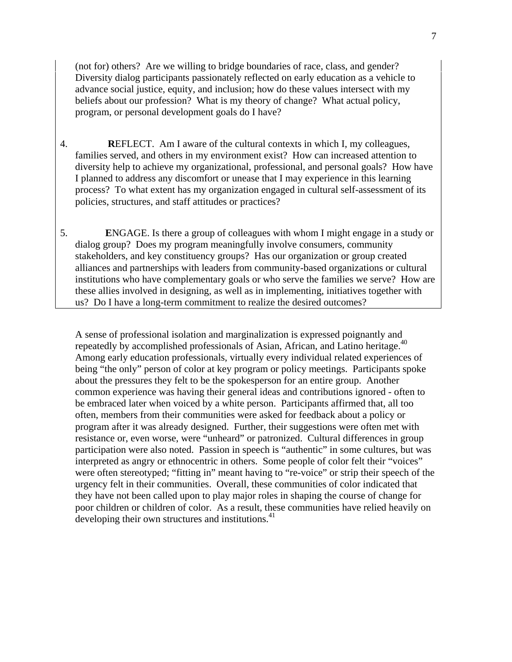(not for) others? Are we willing to bridge boundaries of race, class, and gender? Diversity dialog participants passionately reflected on early education as a vehicle to advance social justice, equity, and inclusion; how do these values intersect with my beliefs about our profession? What is my theory of change? What actual policy, program, or personal development goals do I have?

- 4. **R**EFLECT. Am I aware of the cultural contexts in which I, my colleagues, families served, and others in my environment exist? How can increased attention to diversity help to achieve my organizational, professional, and personal goals? How have I planned to address any discomfort or unease that I may experience in this learning process? To what extent has my organization engaged in cultural self-assessment of its policies, structures, and staff attitudes or practices?
- 5. **E**NGAGE. Is there a group of colleagues with whom I might engage in a study or dialog group? Does my program meaningfully involve consumers, community stakeholders, and key constituency groups? Has our organization or group created alliances and partnerships with leaders from community-based organizations or cultural institutions who have complementary goals or who serve the families we serve? How are these allies involved in designing, as well as in implementing, initiatives together with us? Do I have a long-term commitment to realize the desired outcomes?

A sense of professional isolation and marginalization is expressed poignantly and repeatedly by accomplished professionals of Asian, African, and Latino heritage.<sup>40</sup> Among early education professionals, virtually every individual related experiences of being "the only" person of color at key program or policy meetings. Participants spoke about the pressures they felt to be the spokesperson for an entire group. Another common experience was having their general ideas and contributions ignored - often to be embraced later when voiced by a white person. Participants affirmed that, all too often, members from their communities were asked for feedback about a policy or program after it was already designed. Further, their suggestions were often met with resistance or, even worse, were "unheard" or patronized. Cultural differences in group participation were also noted. Passion in speech is "authentic" in some cultures, but was interpreted as angry or ethnocentric in others. Some people of color felt their "voices" were often stereotyped; "fitting in" meant having to "re-voice" or strip their speech of the urgency felt in their communities. Overall, these communities of color indicated that they have not been called upon to play major roles in shaping the course of change for poor children or children of color. As a result, these communities have relied heavily on developing their own structures and institutions.<sup>41</sup>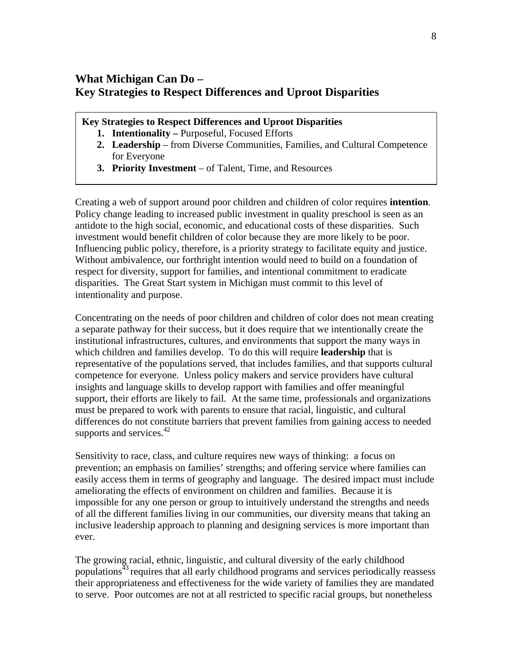## **What Michigan Can Do – Key Strategies to Respect Differences and Uproot Disparities**

**Key Strategies to Respect Differences and Uproot Disparities** 

- **1. Intentionality** Purposeful, Focused Efforts
- **2. Leadership** from Diverse Communities, Families, and Cultural Competence for Everyone
- **3. Priority Investment** of Talent, Time, and Resources

Creating a web of support around poor children and children of color requires **intention**. Policy change leading to increased public investment in quality preschool is seen as an antidote to the high social, economic, and educational costs of these disparities. Such investment would benefit children of color because they are more likely to be poor. Influencing public policy, therefore, is a priority strategy to facilitate equity and justice. Without ambivalence, our forthright intention would need to build on a foundation of respect for diversity, support for families, and intentional commitment to eradicate disparities. The Great Start system in Michigan must commit to this level of intentionality and purpose.

Concentrating on the needs of poor children and children of color does not mean creating a separate pathway for their success, but it does require that we intentionally create the institutional infrastructures, cultures, and environments that support the many ways in which children and families develop. To do this will require **leadership** that is representative of the populations served, that includes families, and that supports cultural competence for everyone. Unless policy makers and service providers have cultural insights and language skills to develop rapport with families and offer meaningful support, their efforts are likely to fail. At the same time, professionals and organizations must be prepared to work with parents to ensure that racial, linguistic, and cultural differences do not constitute barriers that prevent families from gaining access to needed supports and services. $42$ 

Sensitivity to race, class, and culture requires new ways of thinking: a focus on prevention; an emphasis on families' strengths; and offering service where families can easily access them in terms of geography and language. The desired impact must include ameliorating the effects of environment on children and families. Because it is impossible for any one person or group to intuitively understand the strengths and needs of all the different families living in our communities, our diversity means that taking an inclusive leadership approach to planning and designing services is more important than ever.

The growing racial, ethnic, linguistic, and cultural diversity of the early childhood populations<sup>43</sup> requires that all early childhood programs and services periodically reassess their appropriateness and effectiveness for the wide variety of families they are mandated to serve. Poor outcomes are not at all restricted to specific racial groups, but nonetheless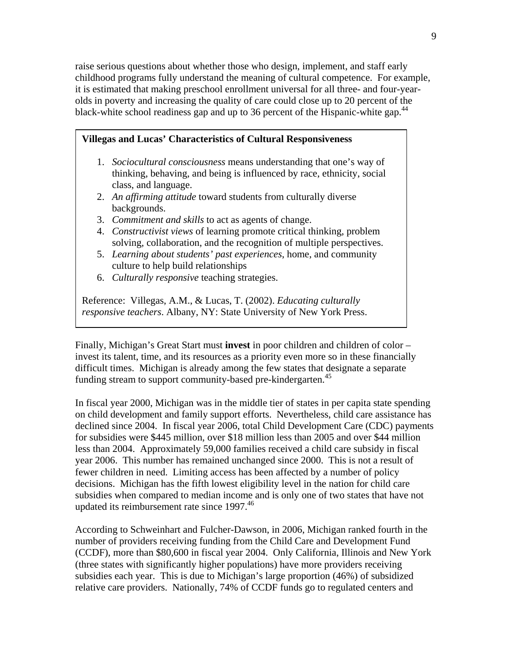raise serious questions about whether those who design, implement, and staff early childhood programs fully understand the meaning of cultural competence. For example, it is estimated that making preschool enrollment universal for all three- and four-yearolds in poverty and increasing the quality of care could close up to 20 percent of the black-white school readiness gap and up to 36 percent of the Hispanic-white gap.<sup>44</sup>

#### **Villegas and Lucas' Characteristics of Cultural Responsiveness**

- 1. *Sociocultural consciousness* means understanding that one's way of thinking, behaving, and being is influenced by race, ethnicity, social class, and language.
- 2. *An affirming attitude* toward students from culturally diverse backgrounds.
- 3. *Commitment and skills* to act as agents of change.
- 4. *Constructivist views* of learning promote critical thinking, problem solving, collaboration, and the recognition of multiple perspectives.
- 5. *Learning about students' past experiences*, home, and community culture to help build relationships
- 6. *Culturally responsive* teaching strategies.

Reference: Villegas, A.M., & Lucas, T. (2002). *Educating culturally responsive teachers*. Albany, NY: State University of New York Press.

Finally, Michigan's Great Start must **invest** in poor children and children of color – invest its talent, time, and its resources as a priority even more so in these financially difficult times. Michigan is already among the few states that designate a separate funding stream to support community-based pre-kindergarten.<sup>45</sup>

In fiscal year 2000, Michigan was in the middle tier of states in per capita state spending on child development and family support efforts. Nevertheless, child care assistance has declined since 2004. In fiscal year 2006, total Child Development Care (CDC) payments for subsidies were \$445 million, over \$18 million less than 2005 and over \$44 million less than 2004. Approximately 59,000 families received a child care subsidy in fiscal year 2006. This number has remained unchanged since 2000. This is not a result of fewer children in need. Limiting access has been affected by a number of policy decisions. Michigan has the fifth lowest eligibility level in the nation for child care subsidies when compared to median income and is only one of two states that have not updated its reimbursement rate since  $1997<sup>46</sup>$ 

According to Schweinhart and Fulcher-Dawson, in 2006, Michigan ranked fourth in the number of providers receiving funding from the Child Care and Development Fund (CCDF), more than \$80,600 in fiscal year 2004. Only California, Illinois and New York (three states with significantly higher populations) have more providers receiving subsidies each year. This is due to Michigan's large proportion (46%) of subsidized relative care providers. Nationally, 74% of CCDF funds go to regulated centers and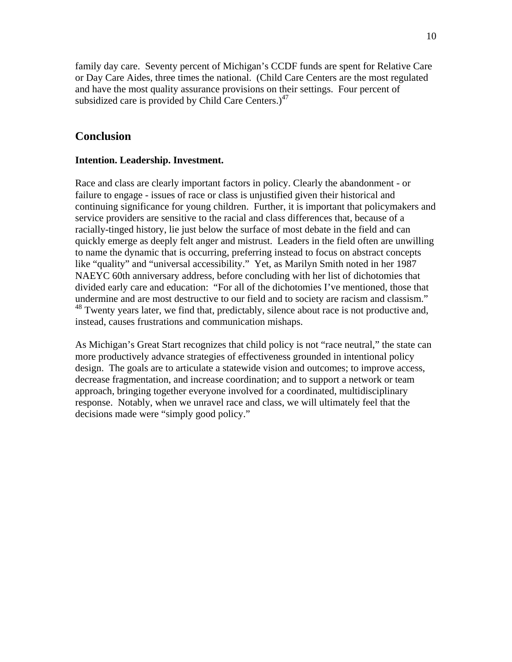family day care. Seventy percent of Michigan's CCDF funds are spent for Relative Care or Day Care Aides, three times the national. (Child Care Centers are the most regulated and have the most quality assurance provisions on their settings. Four percent of subsidized care is provided by Child Care Centers.) $47$ 

#### **Conclusion**

#### **Intention. Leadership. Investment.**

Race and class are clearly important factors in policy. Clearly the abandonment - or failure to engage - issues of race or class is unjustified given their historical and continuing significance for young children. Further, it is important that policymakers and service providers are sensitive to the racial and class differences that, because of a racially-tinged history, lie just below the surface of most debate in the field and can quickly emerge as deeply felt anger and mistrust. Leaders in the field often are unwilling to name the dynamic that is occurring, preferring instead to focus on abstract concepts like "quality" and "universal accessibility." Yet, as Marilyn Smith noted in her 1987 NAEYC 60th anniversary address, before concluding with her list of dichotomies that divided early care and education: "For all of the dichotomies I've mentioned, those that undermine and are most destructive to our field and to society are racism and classism." <sup>48</sup> Twenty years later, we find that, predictably, silence about race is not productive and, instead, causes frustrations and communication mishaps.

As Michigan's Great Start recognizes that child policy is not "race neutral," the state can more productively advance strategies of effectiveness grounded in intentional policy design. The goals are to articulate a statewide vision and outcomes; to improve access, decrease fragmentation, and increase coordination; and to support a network or team approach, bringing together everyone involved for a coordinated, multidisciplinary response. Notably, when we unravel race and class, we will ultimately feel that the decisions made were "simply good policy."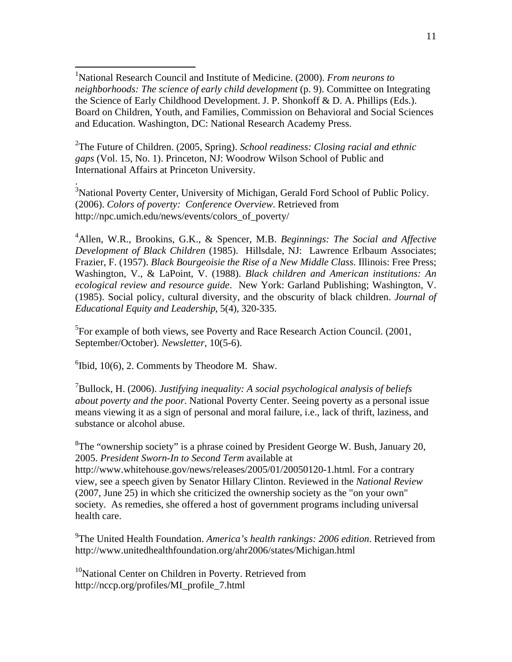<span id="page-10-1"></span><span id="page-10-0"></span><sup>1</sup>National Research Council and Institute of Medicine. (2000). *From neurons to neighborhoods: The science of early child development* (p. 9). Committee on Integrating the Science of Early Childhood Development. J. P. Shonkoff & D. A. Phillips (Eds.). Board on Children, Youth, and Families, Commission on Behavioral and Social Sciences and Education. Washington, DC: National Research Academy Press.

2 The Future of Children. (2005, Spring). *School readiness: Closing racial and ethnic gaps* (Vol. 15, No. 1). Princeton, NJ: Woodrow Wilson School of Public and International Affairs at Princeton University.

<sup>3</sup>National Poverty Center, University of Michigan, Gerald Ford School of Public Policy. (2006). *Colors of poverty: Conference Overview*. Retrieved from http://npc.umich.edu/news/events/colors\_of\_poverty/

4 Allen, W.R., Brookins, G.K., & Spencer, M.B. *Beginnings: The Social and Affective Development of Black Children* (1985). Hillsdale, NJ: Lawrence Erlbaum Associates; Frazier, F. (1957). *Black Bourgeoisie the Rise of a New Middle Class*. Illinois: Free Press; Washington, V., & LaPoint, V. (1988). *Black children and American institutions: An ecological review and resource guide*. New York: Garland Publishing; Washington, V. (1985). Social policy, cultural diversity, and the obscurity of black children. *Journal of Educational Equity and Leadership*, 5(4), 320-335.

 ${}^{5}$ For example of both views, see Poverty and Race Research Action Council. (2001, September/October). *Newsletter*, 10(5-6).

 ${}^{6}$ Ibid, 10(6), 2. Comments by Theodore M. Shaw.

 $\overline{a}$ 

.

7 Bullock, H. (2006). *Justifying inequality: A social psychological analysis of beliefs about poverty and the poor*. National Poverty Center. Seeing poverty as a personal issue means viewing it as a sign of personal and moral failure, i.e., lack of thrift, laziness, and substance or alcohol abuse.

<sup>8</sup>The "ownership society" is a phrase coined by President George W. Bush, January 20, 2005. *[President Sworn-In to Second Term](http://www.whitehouse.gov/news/releases/2005/01/20050120-1.html)* available at

http://www.whitehouse.gov/news/releases/2005/01/20050120-1.html. For a contrary view, see a speech given by Senator Hillary Clinton. Reviewed in the *[National Review](http://goliath.ecnext.com/coms2/browse_R_N040)* (2007, June 25) in which she criticized the ownership society as the "on your own" society. As remedies, she offered a host of government programs including universal health care.

9 The United Health Foundation. *America's health rankings: 2006 edition*. Retrieved from http://www.unitedhealthfoundation.org/ahr2006/states/Michigan.html

<sup>10</sup>National Center on Children in Poverty. Retrieved from [http://nccp.org/profiles/MI\\_profile\\_7.html](http://nccp.org/profiles/MI_profile_7.html)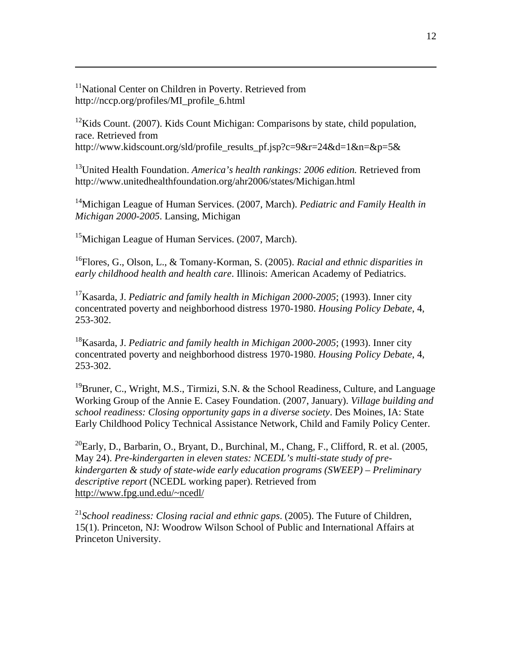<sup>11</sup>National Center on Children in Poverty. Retrieved from [http://nccp.org/profiles/MI\\_profile\\_6.html](http://nccp.org/profiles/MI_profile_6.html) 

<span id="page-11-0"></span> $\overline{a}$ 

 $12$ Kids Count. (2007). Kids Count Michigan: Comparisons by state, child population, race. Retrieved from

http://www.kidscount.org/sld/profile\_results\_pf.jsp?c=9&r=24&d=1&n=&p=5&

13United Health Foundation. *America's health rankings: 2006 edition.* Retrieved from <http://www.unitedhealthfoundation.org/ahr2006/states/Michigan.html>

14Michigan League of Human Services. (2007, March). *Pediatric and Family Health in Michigan 2000-2005*. Lansing, Michigan

<sup>15</sup>Michigan League of Human Services. (2007, March).

16Flores, G., Olson, L., & Tomany-Korman, S. (2005). *Racial and ethnic disparities in early childhood health and health care*. Illinois: American Academy of Pediatrics.

17Kasarda, J. *Pediatric and family health in Michigan 2000-2005*; (1993). Inner city concentrated poverty and neighborhood distress 1970-1980. *Housing Policy Debate*, 4, 253-302.

18Kasarda, J. *Pediatric and family health in Michigan 2000-2005*; (1993). Inner city concentrated poverty and neighborhood distress 1970-1980. *Housing Policy Debate*, 4, 253-302.

<sup>19</sup>Bruner, C., Wright, M.S., Tirmizi, S.N. & the School Readiness, Culture, and Language Working Group of the Annie E. Casey Foundation. (2007, January). *Village building and school readiness: Closing opportunity gaps in a diverse society*. Des Moines, IA: State Early Childhood Policy Technical Assistance Network, Child and Family Policy Center.

 $^{20}$ Early, D., Barbarin, O., Bryant, D., Burchinal, M., Chang, F., Clifford, R. et al. (2005, May 24). *Pre-kindergarten in eleven states: NCEDL's multi-state study of prekindergarten & study of state-wide early education programs (SWEEP) – Preliminary descriptive report* (NCEDL working paper). Retrieved from [http://www.fpg.und.edu/~ncedl/](http://ww.fpg.und.edu/%7Encedl/)

<sup>21</sup>*School readiness: Closing racial and ethnic gaps*. (2005). The Future of Children, 15(1). Princeton, NJ: Woodrow Wilson School of Public and International Affairs at Princeton University.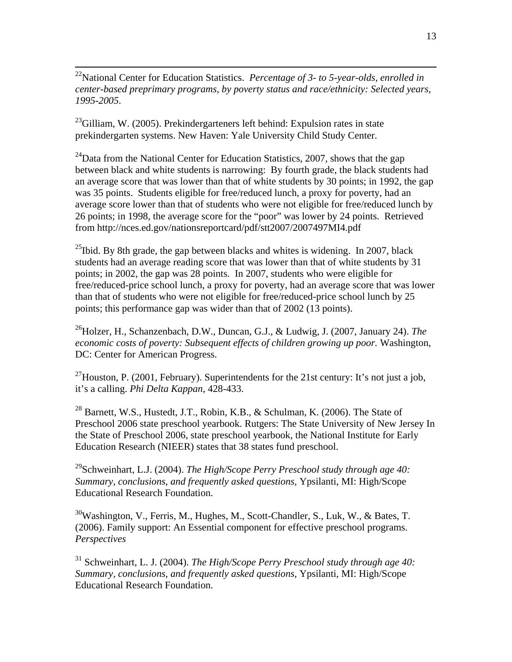<span id="page-12-0"></span> 22National Center for Education Statistics. *Percentage of 3- to 5-year-olds, enrolled in center-based preprimary programs, by poverty status and race/ethnicity: Selected years, 1995-2005*.

 $^{23}$ Gilliam, W. (2005). Prekindergarteners left behind: Expulsion rates in state prekindergarten systems. New Haven: Yale University Child Study Center.

<sup>24</sup>Data from the National Center for Education Statistics, 2007, shows that the gap between black and white students is narrowing: By fourth grade, the black students had an average score that was lower than that of white students by 30 points; in 1992, the gap was 35 points. Students eligible for free/reduced lunch, a proxy for poverty, had an average score lower than that of students who were not eligible for free/reduced lunch by 26 points; in 1998, the average score for the "poor" was lower by 24 points. Retrieved from<http://nces.ed.gov/nationsreportcard/pdf/stt2007/2007497MI4.pdf>

<sup>25</sup>Ibid. By 8th grade, the gap between blacks and whites is widening. In 2007, black students had an average reading score that was lower than that of white students by 31 points; in 2002, the gap was 28 points. In 2007, students who were eligible for free/reduced-price school lunch, a proxy for poverty, had an average score that was lower than that of students who were not eligible for free/reduced-price school lunch by 25 points; this performance gap was wider than that of 2002 (13 points).

26Holzer, H., Schanzenbach, D.W., Duncan, G.J., & Ludwig, J. (2007, January 24). *The economic costs of poverty: Subsequent effects of children growing up poor.* Washington, DC: Center for American Progress.

<sup>27</sup>Houston, P. (2001, February). Superintendents for the 21st century: It's not just a job, it's a calling. *Phi Delta Kappan*, 428-433.

<sup>28</sup> Barnett, W.S., Hustedt, J.T., Robin, K.B., & Schulman, K. (2006). The State of Preschool 2006 state preschool yearbook. Rutgers: The State University of New Jersey In the State of Preschool 2006, state preschool yearbook, the National Institute for Early Education Research (NIEER) states that 38 states fund preschool.

29Schweinhart, L.J. (2004). *The High/Scope Perry Preschool study through age 40: Summary, conclusions, and frequently asked questions,* Ypsilanti, MI: High/Scope Educational Research Foundation.

 $30$ Washington, V., Ferris, M., Hughes, M., Scott-Chandler, S., Luk, W., & Bates, T. (2006). Family support: An Essential component for effective preschool programs. *Perspectives*

31 Schweinhart, L. J. (2004). *The High/Scope Perry Preschool study through age 40: Summary, conclusions, and frequently asked questions,* Ypsilanti, MI: High/Scope Educational Research Foundation.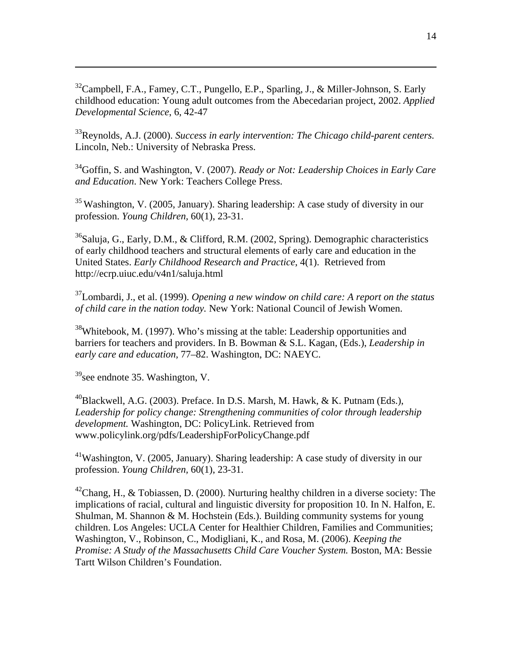$32$ Campbell, F.A., Famey, C.T., Pungello, E.P., Sparling, J., & Miller-Johnson, S. Early childhood education: Young adult outcomes from the Abecedarian project, 2002. *Applied Developmental Science*, 6, 42-47

33Reynolds, A.J. (2000). *Success in early intervention: The Chicago child-parent centers.*  Lincoln, Neb.: University of Nebraska Press.

34Goffin, S. and Washington, V. (2007). *Ready or Not: Leadership Choices in Early Care and Education*. New York: Teachers College Press.

35 Washington, V. (2005, January). Sharing leadership: A case study of diversity in our profession. *Young Children,* 60(1), 23-31.

<sup>36</sup>Saluja, G., Early, D.M., & Clifford, R.M. (2002, Spring). Demographic characteristics of early childhood teachers and structural elements of early care and education in the United States. *Early Childhood Research and Practice*, 4(1). Retrieved from <http://ecrp.uiuc.edu/v4n1/saluja.html>

37Lombardi, J., et al. (1999). *Opening a new window on child care: A report on the status of child care in the nation today.* New York: National Council of Jewish Women.

 $38$ Whitebook, M. (1997). Who's missing at the table: Leadership opportunities and barriers for teachers and providers. In B. Bowman & S.L. Kagan, (Eds.), *Leadership in early care and education,* 77–82. Washington, DC: NAEYC.

 $39$ see endnote 35. Washington, V.

<span id="page-13-0"></span> $\overline{a}$ 

<sup>40</sup>Blackwell, A.G. (2003). Preface. In D.S. Marsh, M. Hawk, & K. Putnam (Eds.), *Leadership for policy change: Strengthening communities of color through leadership development.* Washington, DC: PolicyLink. Retrieved from [www.policylink.org/pdfs/LeadershipForPolicyChange.pdf](http://www.policylink.org/pdfs/LeadershipForPolicyChange.pdf) 

 $^{41}$ Washington, V. (2005, January). Sharing leadership: A case study of diversity in our profession. *Young Children,* 60(1), 23-31.

<sup>42</sup>Chang, H., & Tobiassen, D. (2000). Nurturing healthy children in a diverse society: The implications of racial, cultural and linguistic diversity for proposition 10. In N. Halfon, E. Shulman, M. Shannon & M. Hochstein (Eds.). Building community systems for young children. Los Angeles: UCLA Center for Healthier Children, Families and Communities; Washington, V., Robinson, C., Modigliani, K., and Rosa, M. (2006). *Keeping the Promise: A Study of the Massachusetts Child Care Voucher System.* Boston, MA: Bessie Tartt Wilson Children's Foundation.